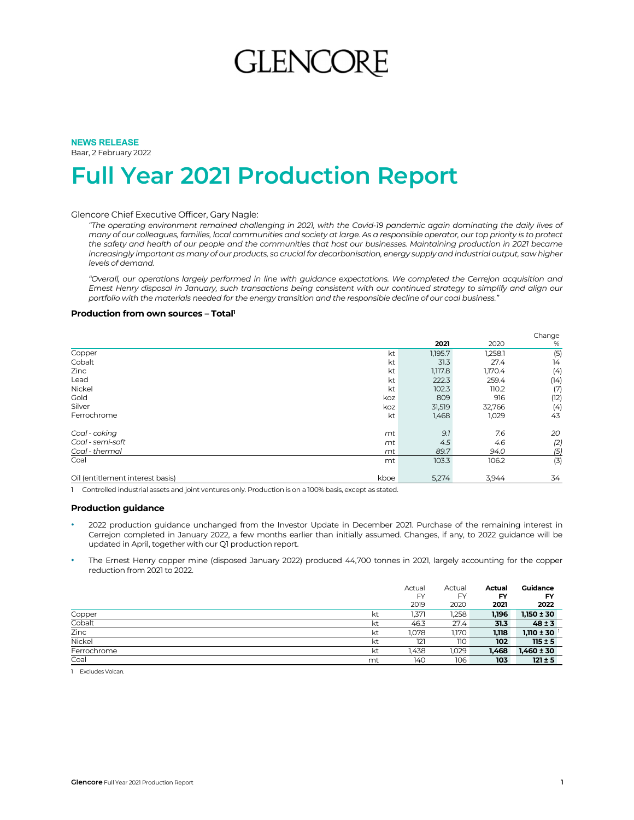# **GLENCOR**

### **NEWS RELEASE**  Baar, 2 February 2022

## **Full Year 2021 Production Report**

### Glencore Chief Executive Officer, Gary Nagle:

*"The operating environment remained challenging in 2021, with the Covid-19 pandemic again dominating the daily lives of many of our colleagues, families, local communities and society at large. As a responsible operator, our top priority is to protect*  the safety and health of our people and the communities that host our businesses. Maintaining production in 2021 became *increasingly important as many of our products, so crucial for decarbonisation, energy supply and industrial output, saw higher levels of demand.* 

*"Overall, our operations largely performed in line with guidance expectations. We completed the Cerrejon acquisition and Ernest Henry disposal in January, such transactions being consistent with our continued strategy to simplify and align our portfolio with the materials needed for the energy transition and the responsible decline of our coal business."* 

### **Production from own sources - Total'**

|                                  |      |         |         | Change |
|----------------------------------|------|---------|---------|--------|
|                                  |      | 2021    | 2020    | %      |
| Copper                           | kt   | 1,195.7 | 1,258.1 | (5)    |
| Cobalt                           | kt   | 31.3    | 27.4    | 14     |
| Zinc                             | kt   | 1,117.8 | 1,170.4 | (4)    |
| Lead                             | kt   | 222.3   | 259.4   | (14)   |
| Nickel                           | kt   | 102.3   | 110.2   | (7)    |
| Gold                             | koz  | 809     | 916     | (12)   |
| Silver                           | koz  | 31,519  | 32,766  | (4)    |
| Ferrochrome                      | kt   | 1,468   | 1,029   | 43     |
| Coal - coking                    | mt   | 9.1     | 7.6     | 20     |
| Coal - semi-soft                 | mt   | 4.5     | 4.6     | (2)    |
| Coal - thermal                   | mt   | 89.7    | 94.0    | (5)    |
| Coal                             | mt   | 103.3   | 106.2   | (3)    |
| Oil (entitlement interest basis) | kboe | 5,274   | 3,944   | 34     |

1 Controlled industrial assets and joint ventures only. Production is on a 100% basis, except as stated.

### **Production guidance**

- 2022 production guidance unchanged from the Investor Update in December 2021. Purchase of the remaining interest in Cerrejon completed in January 2022, a few months earlier than initially assumed. Changes, if any, to 2022 guidance will be updated in April, together with our Q1 production report.
- The Ernest Henry copper mine (disposed January 2022) produced 44,700 tonnes in 2021, largely accounting for the copper reduction from 2021 to 2022.

|             |    | Actual    | Actual | <b>Actual</b> | Guidance       |
|-------------|----|-----------|--------|---------------|----------------|
|             |    | <b>FY</b> | FY     | FY            | <b>FY</b>      |
|             |    | 2019      | 2020   | 2021          | 2022           |
| Copper      | kt | 1,371     | 1,258  | 1,196         | $1,150 \pm 30$ |
| Cobalt      | kt | 46.3      | 27.4   | 31.3          | $48 \pm 3$     |
| Zinc        | kt | 1,078     | 1,170  | 1,118         | $1,110 \pm 30$ |
| Nickel      | kt | 121       | 110    | 102           | $115 \pm 5$    |
| Ferrochrome | kt | 1,438     | 1,029  | 1,468         | $1,460 \pm 30$ |
| Coal        | mt | 140       | 106    | 103           | $121 \pm 5$    |

1 Excludes Volcan.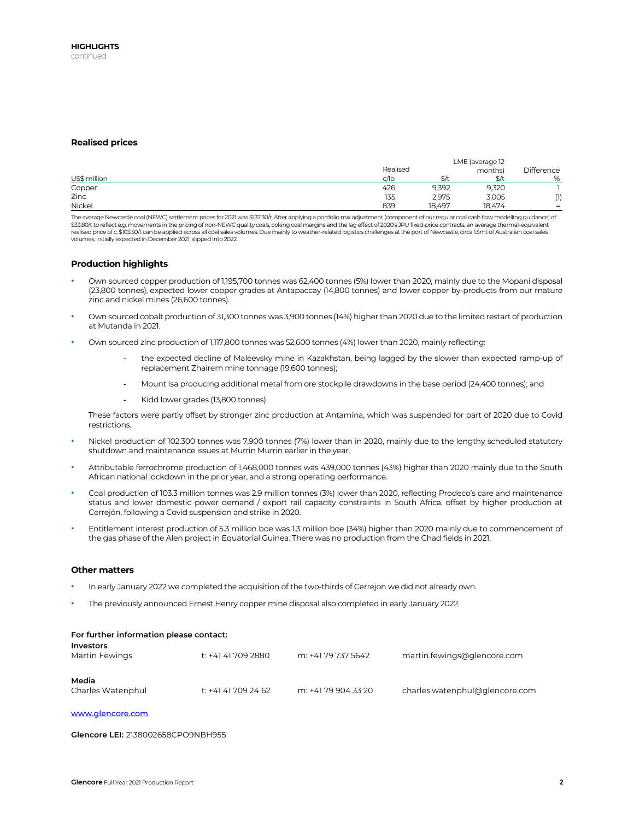### **Realised prices**

|              |          | LME (average 12       |               |            |
|--------------|----------|-----------------------|---------------|------------|
|              | Realised |                       | months)       | Difference |
| US\$ million | ¢/lb     | $\overline{a}$<br>3/1 | $\frac{4}{3}$ | %          |
| Copper       | 426      | 9,392                 | 9,320         |            |
| Zinc         | 135      | 2.975                 | 3,005         | (1)        |
| Nickel       | 839      | 18.497                | 18.474        | -          |

The average Newcastle coal (NEWC) settlement prices for 2021 was \$137.30/t. After applying a portfolio mix adjustment (component of our regular coal cash flow modelling guidance) of<br>\$33.80/t to reflect e.g. movements in th realised price of c. \$103.50/t can be applied across all coal sales volumes. Due mainly to weather-related logistics challenges at the port of Newcastle, circa 1.5mt of Australian coal sales volumes, initially expected in December 2021, slipped into 2022.

### **Production highlights**

- Own sourced copper production of 1,195,700 tonnes was 62,400 tonnes (5%) lower than 2020, mainly due to the Mopani disposal (23,800 tonnes), expected lower copper grades at Antapaccay (14,800 tonnes) and lower copper by-products from our mature zinc and nickel mines (26,600 tonnes).
- Own sourced cobalt production of 31,300 tonnes was 3,900 tonnes (14%) higher than 2020 due to the limited restart of production at Mutanda in 2021.
- Own sourced zinc production of 1,117,800 tonnes was 52,600 tonnes (4%) lower than 2020, mainly reflecting:
	- the expected decline of Maleevsky mine in Kazakhstan, being lagged by the slower than expected ramp-up of replacement Zhairem mine tonnage (19,600 tonnes);
	- Mount Isa producing additional metal from ore stockpile drawdowns in the base period (24,400 tonnes); and
	- Kidd lower grades (13,800 tonnes).

These factors were partly offset by stronger zinc production at Antamina, which was suspended for part of 2020 due to Covid restrictions.

- Nickel production of 102.300 tonnes was 7,900 tonnes (7%) lower than in 2020, mainly due to the lengthy scheduled statutory shutdown and maintenance issues at Murrin Murrin earlier in the year.
- Attributable ferrochrome production of 1,468,000 tonnes was 439,000 tonnes (43%) higher than 2020 mainly due to the South African national lockdown in the prior year, and a strong operating performance.
- Coal production of 103.3 million tonnes was 2.9 million tonnes (3%) lower than 2020, reflecting Prodeco's care and maintenance status and lower domestic power demand / export rail capacity constraints in South Africa, offset by higher production at Cerrejón, following a Covid suspension and strike in 2020.
- Entitlement interest production of 5.3 million boe was 1.3 million boe (34%) higher than 2020 mainly due to commencement of the gas phase of the Alen project in Equatorial Guinea. There was no production from the Chad fields in 2021.

### **Other matters**

- In early January 2022 we completed the acquisition of the two-thirds of Cerrejon we did not already own.
- The previously announced Ernest Henry copper mine disposal also completed in early January 2022.

| For further information please contact:<br><b>Investors</b> |                     |                     |                                |
|-------------------------------------------------------------|---------------------|---------------------|--------------------------------|
| Martin Fewings                                              | t: +41 41 709 2880  | m: +41 79 737 5642  | martin.fewings@glencore.com    |
| Media<br>Charles Watenphul                                  | t: +41 41 709 24 62 | m: +41 79 904 33 20 | charles.watenphul@glencore.com |

www.glencore.com

### **Glencore LEI:** 2138002658CPO9NBH955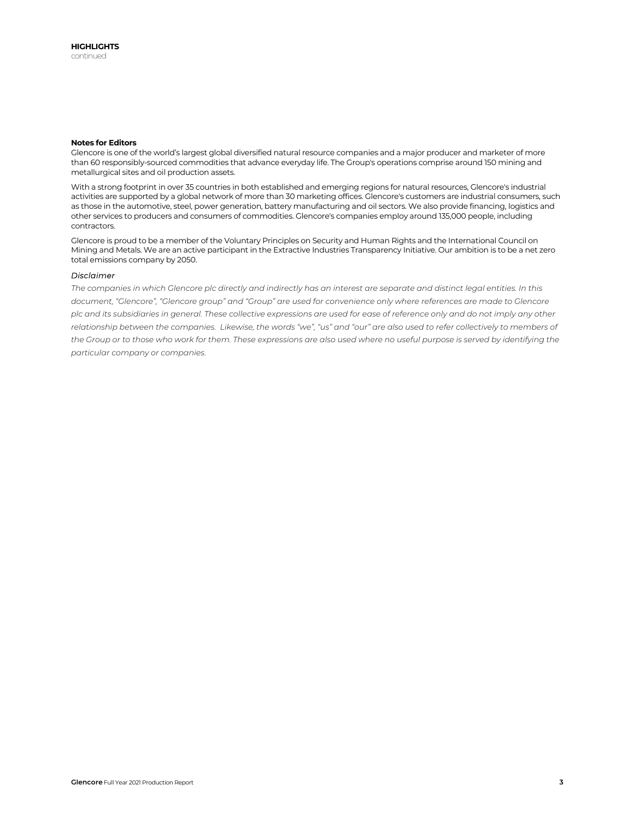### **Notes for Editors**

Glencore is one of the world's largest global diversified natural resource companies and a major producer and marketer of more than 60 responsibly-sourced commodities that advance everyday life. The Group's operations comprise around 150 mining and metallurgical sites and oil production assets.

With a strong footprint in over 35 countries in both established and emerging regions for natural resources, Glencore's industrial activities are supported by a global network of more than 30 marketing offices. Glencore's customers are industrial consumers, such as those in the automotive, steel, power generation, battery manufacturing and oil sectors. We also provide financing, logistics and other services to producers and consumers of commodities. Glencore's companies employ around 135,000 people, including contractors.

Glencore is proud to be a member of the Voluntary Principles on Security and Human Rights and the International Council on Mining and Metals. We are an active participant in the Extractive Industries Transparency Initiative. Our ambition is to be a net zero total emissions company by 2050.

### *Disclaimer*

*The companies in which Glencore plc directly and indirectly has an interest are separate and distinct legal entities. In this document, "Glencore", "Glencore group" and "Group" are used for convenience only where references are made to Glencore plc and its subsidiaries in general. These collective expressions are used for ease of reference only and do not imply any other relationship between the companies. Likewise, the words "we", "us" and "our" are also used to refer collectively to members of the Group or to those who work for them. These expressions are also used where no useful purpose is served by identifying the particular company or companies.*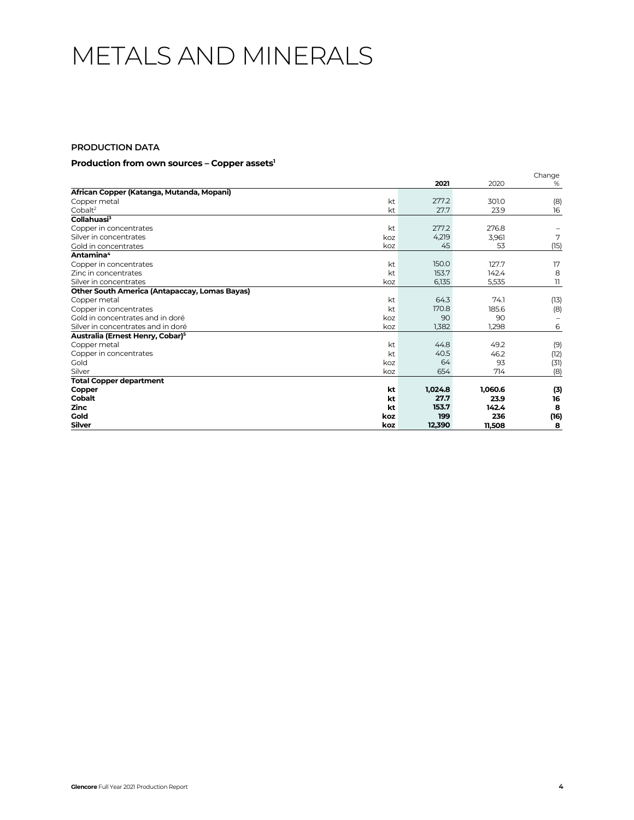## METALS AND MINERALS

## **PRODUCTION DATA**

## **Production from own sources – Copper assets1**

|                                                      |     | 2021    | 2020    | Change<br>% |
|------------------------------------------------------|-----|---------|---------|-------------|
| African Copper (Katanga, Mutanda, Mopani)            |     |         |         |             |
| Copper metal                                         | kt  | 277.2   | 301.0   | (8)         |
| Cobalt <sup>2</sup>                                  | kt  | 27.7    | 23.9    | 16          |
| Collahuasi <sup>3</sup>                              |     |         |         |             |
| Copper in concentrates                               | kt  | 277.2   | 276.8   |             |
| Silver in concentrates                               | koz | 4,219   | 3,961   | 7           |
| Gold in concentrates                                 | koz | 45      | 53      | (15)        |
| Antamina <sup>4</sup>                                |     |         |         |             |
| Copper in concentrates                               | kt  | 150.0   | 127.7   | 17          |
| Zinc in concentrates                                 | kt  | 153.7   | 142.4   | 8           |
| Silver in concentrates                               | koz | 6,135   | 5,535   | 11          |
| <b>Other South America (Antapaccay, Lomas Bayas)</b> |     |         |         |             |
| Copper metal                                         | kt  | 64.3    | 74.1    | (13)        |
| Copper in concentrates                               | kt  | 170.8   | 185.6   | (8)         |
| Gold in concentrates and in doré                     | koz | 90      | 90      |             |
| Silver in concentrates and in doré                   | koz | 1,382   | 1,298   | 6           |
| Australia (Ernest Henry, Cobar) <sup>5</sup>         |     |         |         |             |
| Copper metal                                         | kt  | 44.8    | 49.2    | (9)         |
| Copper in concentrates                               | kt  | 40.5    | 46.2    | (12)        |
| Gold                                                 | koz | 64      | 93      | (31)        |
| Silver                                               | koz | 654     | 714     | (8)         |
| <b>Total Copper department</b>                       |     |         |         |             |
| Copper                                               | kt  | 1,024.8 | 1,060.6 | (3)         |
| <b>Cobalt</b>                                        | kt  | 27.7    | 23.9    | 16          |
| <b>Zinc</b>                                          | kt  | 153.7   | 142.4   | 8           |
| Gold                                                 | koz | 199     | 236     | (16)        |
| <b>Silver</b>                                        | koz | 12,390  | 11,508  | 8           |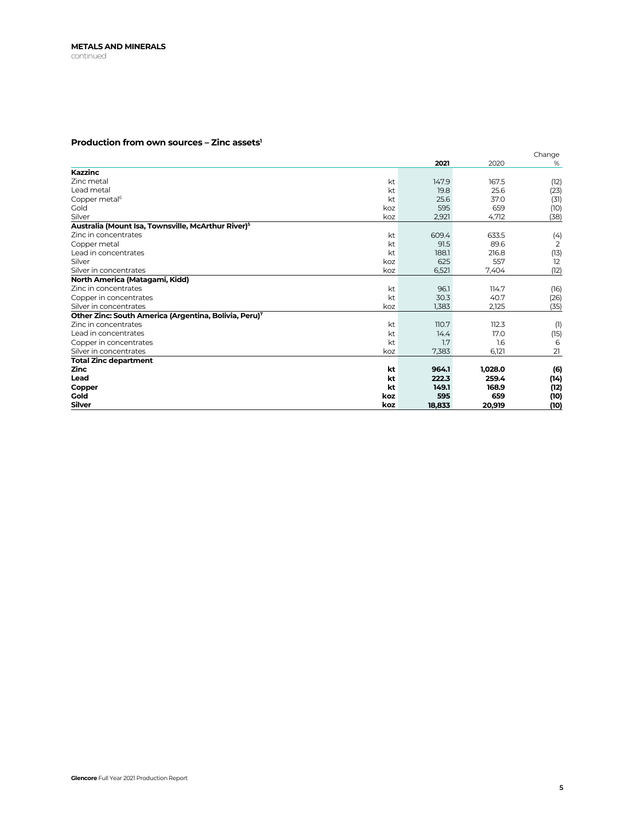## **Production from own sources – Zinc assets1**

|                                                                |     | 2021         |              | Change       |
|----------------------------------------------------------------|-----|--------------|--------------|--------------|
| <b>Kazzinc</b>                                                 |     |              | 2020         | %            |
| Zinc metal                                                     | kt  | 147.9        | 167.5        |              |
| Lead metal                                                     | kt  | 19.8         | 25.6         | (12)         |
| Copper metal <sup>6</sup>                                      | kt  | 25.6         | 37.0         | (23)         |
| Gold                                                           | koz | 595          | 659          | (31)         |
| Silver                                                         | koz | 2,921        | 4,712        | (10)<br>(38) |
| Australia (Mount Isa, Townsville, McArthur River) <sup>5</sup> |     |              |              |              |
| Zinc in concentrates                                           | kt  | 609.4        | 633.5        |              |
|                                                                |     |              |              | (4)          |
| Copper metal<br>Lead in concentrates                           | kt  | 91.5         | 89.6         | 2            |
| Silver                                                         | kt  | 188.1<br>625 | 216.8<br>557 | (13)<br>12   |
|                                                                | koz |              |              |              |
| Silver in concentrates                                         | koz | 6,521        | 7,404        | (12)         |
| North America (Matagami, Kidd)                                 |     |              |              |              |
| Zinc in concentrates                                           | kt  | 96.1         | 114.7        | (16)         |
| Copper in concentrates                                         | kt  | 30.3         | 40.7         | (26)         |
| Silver in concentrates                                         | koz | 1,383        | 2,125        | (35)         |
| Other Zinc: South America (Argentina, Bolivia, Peru)7          |     |              |              |              |
| Zinc in concentrates                                           | kt  | 110.7        | 112.3        | (1)          |
| Lead in concentrates                                           | kt  | 14.4         | 17.0         | (15)         |
| Copper in concentrates                                         | kt  | 1.7          | 1.6          | 6            |
| Silver in concentrates                                         | koz | 7,383        | 6,121        | 21           |
| Total Zinc department                                          |     |              |              |              |
| <b>Zinc</b>                                                    | kt  | 964.1        | 1,028.0      | (6)          |
| Lead                                                           | kt  | 222.3        | 259.4        | (14)         |
| Copper                                                         | kt  | 149.1        | 168.9        | (12)         |
| Gold                                                           | koz | 595          | 659          | (10)         |
| <b>Silver</b>                                                  | koz | 18,833       | 20,919       | (10)         |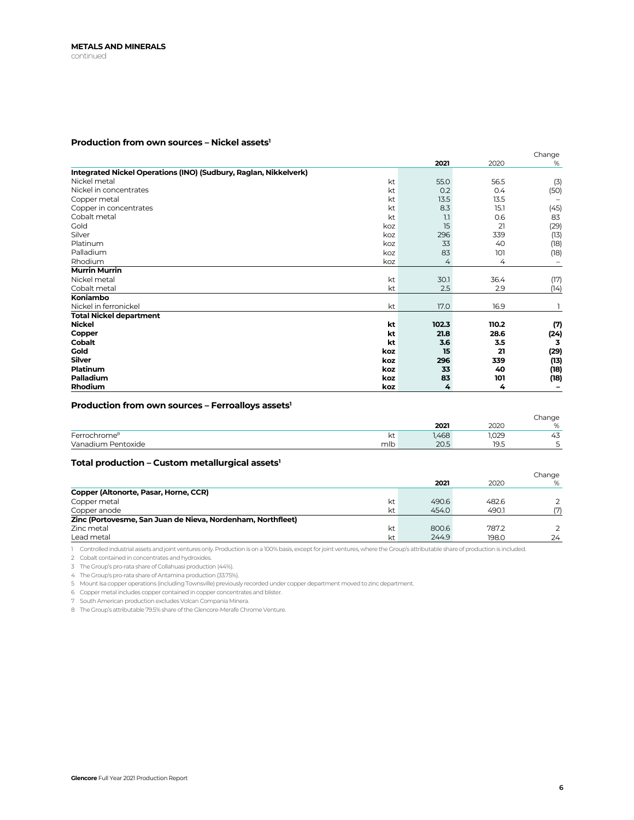## Production from own sources - Nickel assets<sup>1</sup>

|                                                                  |       |       | Change |
|------------------------------------------------------------------|-------|-------|--------|
|                                                                  | 2021  | 2020  | %      |
| Integrated Nickel Operations (INO) (Sudbury, Raglan, Nikkelverk) |       |       |        |
| Nickel metal<br>kt                                               | 55.0  | 56.5  | (3)    |
| Nickel in concentrates<br>kt                                     | 0.2   | 0.4   | (50)   |
| kt<br>Copper metal                                               | 13.5  | 13.5  |        |
| Copper in concentrates<br>kt                                     | 8.3   | 15.1  | (45)   |
| Cobalt metal<br>kt                                               | 1.1   | 0.6   | 83     |
| Gold<br>koz                                                      | 15    | 21    | (29)   |
| Silver<br>koz                                                    | 296   | 339   | (13)   |
| Platinum<br>koz                                                  | 33    | 40    | (18)   |
| Palladium<br>koz                                                 | 83    | 101   | (18)   |
| Rhodium<br>koz                                                   | 4     | 4     |        |
| <b>Murrin Murrin</b>                                             |       |       |        |
| kt<br>Nickel metal                                               | 30.1  | 36.4  | (17)   |
| kt<br>Cobalt metal                                               | 2.5   | 2.9   | (14)   |
| Koniambo                                                         |       |       |        |
| Nickel in ferronickel<br>kt                                      | 17.0  | 16.9  |        |
| <b>Total Nickel department</b>                                   |       |       |        |
| <b>Nickel</b><br>kt                                              | 102.3 | 110.2 | (7)    |
| kt<br>Copper                                                     | 21.8  | 28.6  | (24)   |
| <b>Cobalt</b><br>kt                                              | 3.6   | 3.5   | 3      |
| Gold<br>koz                                                      | 15    | 21    | (29)   |
| <b>Silver</b><br>koz                                             | 296   | 339   | (13)   |
| Platinum<br>koz                                                  | 33    | 40    | (18)   |
| Palladium<br>koz                                                 | 83    | 101   | (18)   |
| Rhodium<br>koz                                                   | 4     | 4     |        |

## Production from own sources - Ferroalloys assets<sup>1</sup>

|                          |     |              |       | Change |
|--------------------------|-----|--------------|-------|--------|
|                          |     | 2021         | 2020  | %      |
| Ferrochrome <sup>8</sup> | kt  | <b>1,468</b> | 1,029 | 43     |
| Vanadium Pentoxide       | mlb | 20.5         | 19.5  |        |

## Total production - Custom metallurgical assets<sup>1</sup>

|                                                             |    |       |       | Change |
|-------------------------------------------------------------|----|-------|-------|--------|
|                                                             |    | 2021  | 2020  | %      |
| Copper (Altonorte, Pasar, Horne, CCR)                       |    |       |       |        |
| Copper metal                                                | kt | 490.6 | 482.6 |        |
| Copper anode                                                | kt | 454.0 | 490.1 | (7)    |
| Zinc (Portovesme, San Juan de Nieva, Nordenham, Northfleet) |    |       |       |        |
| Zinc metal                                                  | kt | 800.6 | 787.2 |        |
| Lead metal                                                  | kt | 244.9 | 198.0 | 24     |

1 Controlled industrial assets and joint ventures only. Production is on a 100% basis, except for joint ventures, where the Group's attributable share of production is included.

2 Cobalt contained in concentrates and hydroxides.

3 The Group's pro-rata share of Collahuasi production (44%).

4 The Group's pro-rata share of Antamina production (33.75%).

5 Mount Isa copper operations (including Townsville) previously recorded under copper department moved to zinc department.

6 Copper metal includes copper contained in copper concentrates and blister.

7 South American production excludes Volcan Compania Minera.

8 The Group's attributable 79.5% share of the Glencore-Merafe Chrome Venture.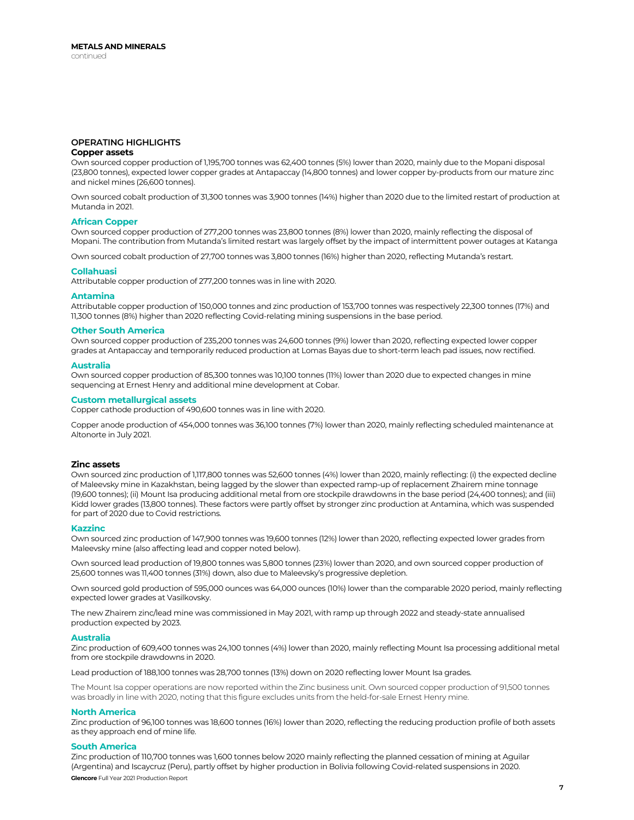### **OPERATING HIGHLIGHTS Copper assets**

Own sourced copper production of 1,195,700 tonnes was 62,400 tonnes (5%) lower than 2020, mainly due to the Mopani disposal (23,800 tonnes), expected lower copper grades at Antapaccay (14,800 tonnes) and lower copper by-products from our mature zinc and nickel mines (26,600 tonnes).

Own sourced cobalt production of 31,300 tonnes was 3,900 tonnes (14%) higher than 2020 due to the limited restart of production at Mutanda in 2021.

### **African Copper**

Own sourced copper production of 277,200 tonnes was 23,800 tonnes (8%) lower than 2020, mainly reflecting the disposal of Mopani. The contribution from Mutanda's limited restart was largely offset by the impact of intermittent power outages at Katanga

Own sourced cobalt production of 27,700 tonnes was 3,800 tonnes (16%) higher than 2020, reflecting Mutanda's restart.

#### **Collahuasi**

Attributable copper production of 277,200 tonnes was in line with 2020.

### **Antamina**

Attributable copper production of 150,000 tonnes and zinc production of 153,700 tonnes was respectively 22,300 tonnes (17%) and 11,300 tonnes (8%) higher than 2020 reflecting Covid-relating mining suspensions in the base period.

### **Other South America**

Own sourced copper production of 235,200 tonnes was 24,600 tonnes (9%) lower than 2020, reflecting expected lower copper grades at Antapaccay and temporarily reduced production at Lomas Bayas due to short-term leach pad issues, now rectified.

### **Australia**

Own sourced copper production of 85,300 tonnes was 10,100 tonnes (11%) lower than 2020 due to expected changes in mine sequencing at Ernest Henry and additional mine development at Cobar.

### **Custom metallurgical assets**

Copper cathode production of 490,600 tonnes was in line with 2020.

Copper anode production of 454,000 tonnes was 36,100 tonnes (7%) lower than 2020, mainly reflecting scheduled maintenance at Altonorte in July 2021.

#### **Zinc assets**

Own sourced zinc production of 1,117,800 tonnes was 52,600 tonnes (4%) lower than 2020, mainly reflecting: (i) the expected decline of Maleevsky mine in Kazakhstan, being lagged by the slower than expected ramp-up of replacement Zhairem mine tonnage (19,600 tonnes); (ii) Mount Isa producing additional metal from ore stockpile drawdowns in the base period (24,400 tonnes); and (iii) Kidd lower grades (13,800 tonnes). These factors were partly offset by stronger zinc production at Antamina, which was suspended for part of 2020 due to Covid restrictions.

#### **Kazzinc**

Own sourced zinc production of 147,900 tonnes was 19,600 tonnes (12%) lower than 2020, reflecting expected lower grades from Maleevsky mine (also affecting lead and copper noted below).

Own sourced lead production of 19,800 tonnes was 5,800 tonnes (23%) lower than 2020, and own sourced copper production of 25,600 tonnes was 11,400 tonnes (31%) down, also due to Maleevsky's progressive depletion.

Own sourced gold production of 595,000 ounces was 64,000 ounces (10%) lower than the comparable 2020 period, mainly reflecting expected lower grades at Vasilkovsky.

The new Zhairem zinc/lead mine was commissioned in May 2021, with ramp up through 2022 and steady-state annualised production expected by 2023.

### **Australia**

Zinc production of 609,400 tonnes was 24,100 tonnes (4%) lower than 2020, mainly reflecting Mount Isa processing additional metal from ore stockpile drawdowns in 2020.

Lead production of 188,100 tonnes was 28,700 tonnes (13%) down on 2020 reflecting lower Mount Isa grades.

The Mount Isa copper operations are now reported within the Zinc business unit. Own sourced copper production of 91,500 tonnes was broadly in line with 2020, noting that this figure excludes units from the held-for-sale Ernest Henry mine.

### **North America**

Zinc production of 96,100 tonnes was 18,600 tonnes (16%) lower than 2020, reflecting the reducing production profile of both assets as they approach end of mine life.

### **South America**

**Glencore** Full Year 2021 Production Report Zinc production of 110,700 tonnes was 1,600 tonnes below 2020 mainly reflecting the planned cessation of mining at Aguilar (Argentina) and Iscaycruz (Peru), partly offset by higher production in Bolivia following Covid-related suspensions in 2020.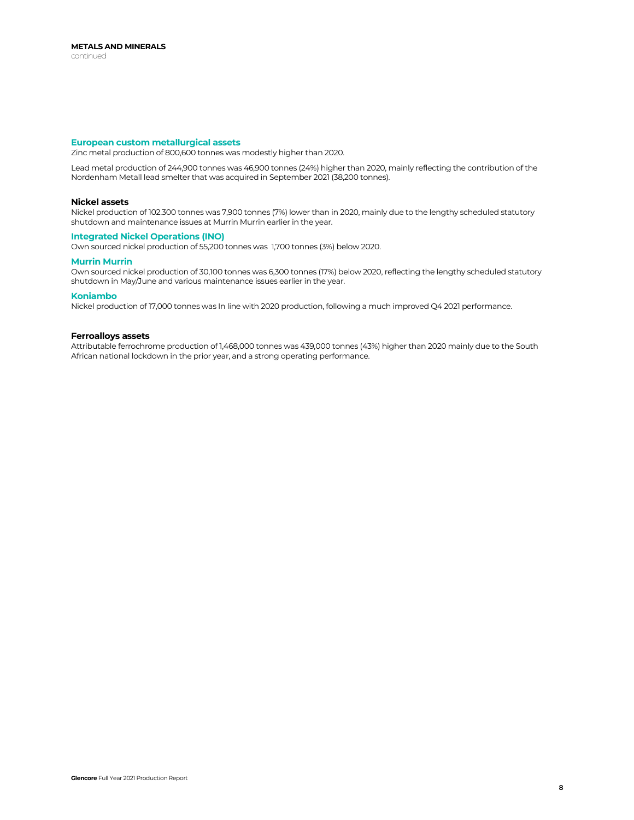### **European custom metallurgical assets**

Zinc metal production of 800,600 tonnes was modestly higher than 2020.

Lead metal production of 244,900 tonnes was 46,900 tonnes (24%) higher than 2020, mainly reflecting the contribution of the Nordenham Metall lead smelter that was acquired in September 2021 (38,200 tonnes).

### **Nickel assets**

Nickel production of 102.300 tonnes was 7,900 tonnes (7%) lower than in 2020, mainly due to the lengthy scheduled statutory shutdown and maintenance issues at Murrin Murrin earlier in the year.

### **Integrated Nickel Operations (INO)**

Own sourced nickel production of 55,200 tonnes was 1,700 tonnes (3%) below 2020.

### **Murrin Murrin**

Own sourced nickel production of 30,100 tonnes was 6,300 tonnes (17%) below 2020, reflecting the lengthy scheduled statutory shutdown in May/June and various maintenance issues earlier in the year.

### **Koniambo**

Nickel production of 17,000 tonnes was In line with 2020 production, following a much improved Q4 2021 performance.

### **Ferroalloys assets**

Attributable ferrochrome production of 1,468,000 tonnes was 439,000 tonnes (43%) higher than 2020 mainly due to the South African national lockdown in the prior year, and a strong operating performance.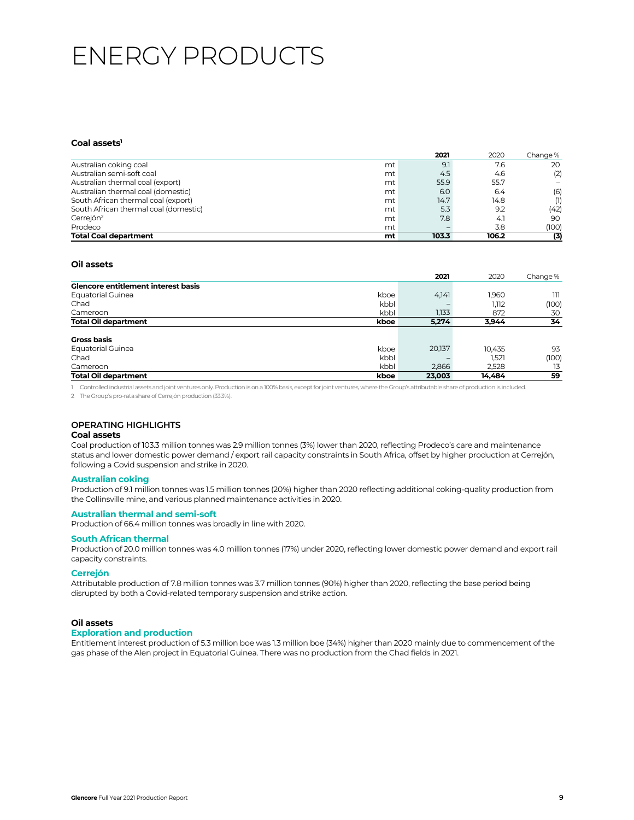## ENERGY PRODUCTS

## Coal assets<sup>1</sup>

|                                       |    | 2021  | 2020   | Change % |
|---------------------------------------|----|-------|--------|----------|
| Australian coking coal                | mt | 9.1   | 7.6    | 20       |
| Australian semi-soft coal             | mt | 4.5   | 4.6    | (2)      |
| Australian thermal coal (export)      | mt | 55.9  | 55.7   |          |
| Australian thermal coal (domestic)    | mt | 6.0   | 6.4    | (6)      |
| South African thermal coal (export)   | mt | 14.7  | 14.8   | (1)      |
| South African thermal coal (domestic) | mt | 5.3   | 9.2    | (42)     |
| Cerrejón <sup>2</sup>                 | mt | 7.8   | $-4.1$ | 90       |
| Prodeco                               | mt |       | 3.8    | (100)    |
| <b>Total Coal department</b>          | mt | 103.3 | 106.2  | (3)      |

## **Oil assets**

|                                            |      | 2021   | 2020   | Change % |
|--------------------------------------------|------|--------|--------|----------|
| <b>Glencore entitlement interest basis</b> |      |        |        |          |
| <b>Equatorial Guinea</b>                   | kboe | 4,141  | 1.960  | ווו      |
| Chad                                       | kbbl |        | 1.112  | (100)    |
| Cameroon                                   | kbbl | 1.133  | 872    | 30       |
| <b>Total Oil department</b>                | kboe | 5.274  | 3,944  | 34       |
| Gross basis                                |      |        |        |          |
| <b>Equatorial Guinea</b>                   | kboe | 20,137 | 10.435 | 93       |
| Chad                                       | kbbl |        | 1,521  | (100)    |
| Cameroon                                   | kbbl | 2.866  | 2.528  | 13       |
| <b>Total Oil department</b>                | kboe | 23,003 | 14.484 | 59       |

1 Controlled industrial assets and joint ventures only. Production is on a 100% basis, except for joint ventures, where the Group's attributable share of production is included.

2 The Group's pro-rata share of Cerrejón production (33.3%).

## **OPERATING HIGHLIGHTS**

## **Coal assets**

Coal production of 103.3 million tonnes was 2.9 million tonnes (3%) lower than 2020, reflecting Prodeco's care and maintenance status and lower domestic power demand / export rail capacity constraints in South Africa, offset by higher production at Cerrejón, following a Covid suspension and strike in 2020.

### **Australian coking**

Production of 9.1 million tonnes was 1.5 million tonnes (20%) higher than 2020 reflecting additional coking-quality production from the Collinsville mine, and various planned maintenance activities in 2020.

### **Australian thermal and semi-soft**

Production of 66.4 million tonnes was broadly in line with 2020.

### **South African thermal**

Production of 20.0 million tonnes was 4.0 million tonnes (17%) under 2020, reflecting lower domestic power demand and export rail capacity constraints.

### **Cerrejón**

Attributable production of 7.8 million tonnes was 3.7 million tonnes (90%) higher than 2020, reflecting the base period being disrupted by both a Covid-related temporary suspension and strike action.

### **Oil assets**

### **Exploration and production**

Entitlement interest production of 5.3 million boe was 1.3 million boe (34%) higher than 2020 mainly due to commencement of the gas phase of the Alen project in Equatorial Guinea. There was no production from the Chad fields in 2021.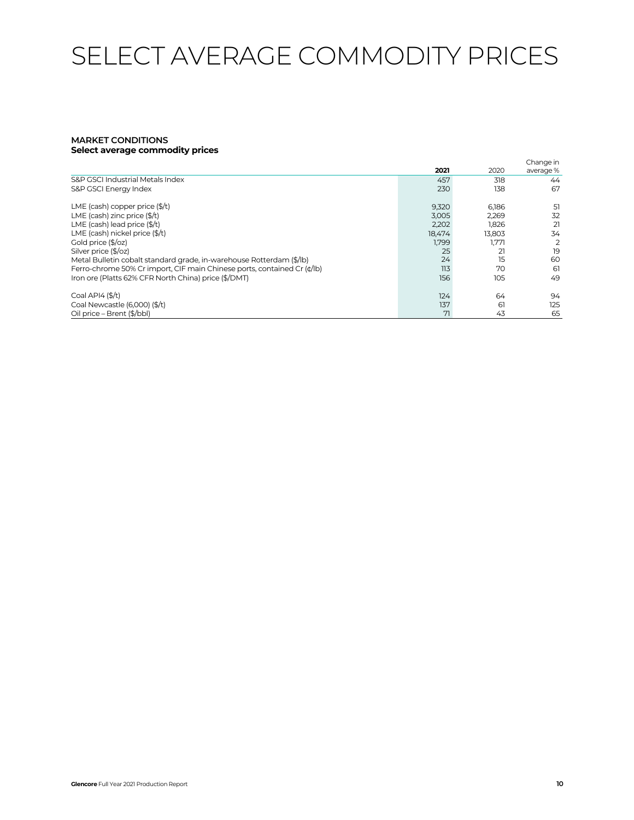# SELECT AVERAGE COMMODITY PRICES

## **MARKET CONDITIONS Select average commodity prices**

|                                                                         | 2021   | 2020   | Change in<br>average% |
|-------------------------------------------------------------------------|--------|--------|-----------------------|
| S&P GSCI Industrial Metals Index                                        | 457    | 318    | 44                    |
| S&P GSCI Energy Index                                                   | 230    | 138    | 67                    |
| LME (cash) copper price $(\frac{4}{1})$                                 | 9,320  | 6,186  | 51                    |
| LME (cash) zinc price $(\frac{4}{t})$                                   | 3.005  | 2,269  | 32                    |
| LME (cash) lead price $(\frac{4}{t})$                                   | 2.202  | 1.826  | 21                    |
| LME (cash) nickel price (\$/t)                                          | 18,474 | 13,803 | 34                    |
| Gold price (\$/oz)                                                      | 1,799  | 1.771  | 2                     |
| Silver price (\$/oz)                                                    | 25     | 21     | 19                    |
| Metal Bulletin cobalt standard grade, in-warehouse Rotterdam (\$/lb)    | 24     | 15     | 60                    |
| Ferro-chrome 50% Cr import, CIF main Chinese ports, contained Cr (¢/lb) | 113    | 70     | 61                    |
| Iron ore (Platts 62% CFR North China) price (\$/DMT)                    | 156    | 105    | 49                    |
| Coal API4 $(\frac{4}{3})$                                               | 124    | 64     | 94                    |
| Coal Newcastle (6,000) (\$/t)                                           | 137    | 61     | 125                   |
| Oil price - Brent (\$/bbl)                                              | 71     | 43     | 65                    |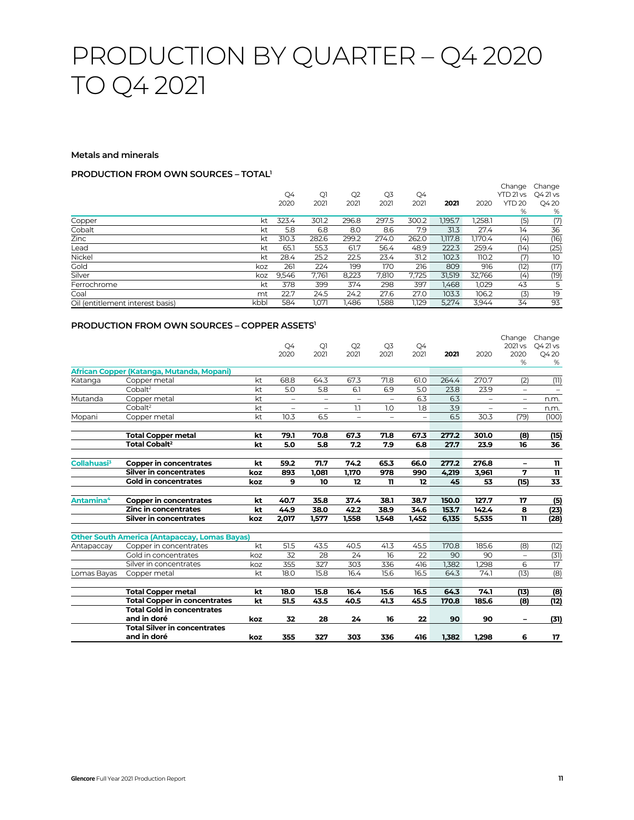## PRODUCTION BY QUARTER – Q4 2020 TO Q4 2021

### **Metals and minerals**

## **PRODUCTION FROM OWN SOURCES – TOTAL1**

|                                  |      |       |       |       |       |       |         |         | Change        | Change   |
|----------------------------------|------|-------|-------|-------|-------|-------|---------|---------|---------------|----------|
|                                  |      | Q4    | Qì    | Q2    | Q3    | Q4    |         |         | YTD 21 vs     | Q4 21 vs |
|                                  |      | 2020  | 2021  | 2021  | 2021  | 2021  | 2021    | 2020    | <b>YTD 20</b> | Q420     |
|                                  |      |       |       |       |       |       |         |         | %             | %        |
| Copper                           | kt   | 323.4 | 301.2 | 296.8 | 297.5 | 300.2 | 1.195.7 | 1.258.1 | (5)           | (7)      |
| Cobalt                           | kt   | 5.8   | 6.8   | 8.0   | 8.6   | 7.9   | 31.3    | 27.4    | 14            | 36       |
| Zinc                             | kt   | 310.3 | 282.6 | 299.2 | 274.0 | 262.0 | 1.117.8 | 1.170.4 | (4)           | (16)     |
| Lead                             | kt   | 65.1  | 55.3  | 61.7  | 56.4  | 48.9  | 222.3   | 259.4   | (14)          | (25)     |
| Nickel                           | kt   | 28.4  | 25.2  | 22.5  | 23.4  | 31.2  | 102.3   | 110.2   | (7)           | 10       |
| Gold                             | koz  | 261   | 224   | 199   | 170   | 216   | 809     | 916     | (12)          | (17)     |
| Silver                           | koz  | 9.546 | 7.761 | 8.223 | 7.810 | 7,725 | 31.519  | 32,766  | (4)           | (19)     |
| Ferrochrome                      | kt   | 378   | 399   | 374   | 298   | 397   | 1.468   | 1.029   | 43            | 5        |
| Coal                             | mt   | 22.7  | 24.5  | 24.2  | 27.6  | 27.0  | 103.3   | 106.2   | (3)           | 19       |
| Oil (entitlement interest basis) | kbbl | 584   | 1,071 | 1,486 | 1,588 | 1,129 | 5,274   | 3,944   | 34            | 93       |

## **PRODUCTION FROM OWN SOURCES – COPPER ASSETS1**

|                         |                                                      |     | Q4<br>2020               | Q <sub>1</sub><br>2021   | Q2<br>2021               | Q <sub>3</sub><br>2021   | Q4<br>2021               | 2021  | 2020                     | Change<br>2021 vs<br>2020<br>% | Change<br>O4 21 vs<br>Q420<br>% |
|-------------------------|------------------------------------------------------|-----|--------------------------|--------------------------|--------------------------|--------------------------|--------------------------|-------|--------------------------|--------------------------------|---------------------------------|
|                         | African Copper (Katanga, Mutanda, Mopani)            |     |                          |                          |                          |                          |                          |       |                          |                                |                                 |
| Katanga                 | Copper metal                                         | kt  | 68.8                     | 64.3                     | 67.3                     | 71.8                     | 61.0                     | 264.4 | 270.7                    | (2)                            | (11)                            |
|                         | Cobalt <sup>2</sup>                                  | kt  | 5.0                      | 5.8                      | 6.1                      | 6.9                      | 5.0                      | 23.8  | 23.9                     |                                |                                 |
| Mutanda                 | Copper metal                                         | kt  | $\overline{\phantom{a}}$ | $\overline{\phantom{m}}$ | ÷                        | $\overline{\phantom{0}}$ | 6.3                      | 6.3   | $\overline{\phantom{0}}$ | $\overline{\phantom{0}}$       | n.m.                            |
|                         | Cobalt <sup>2</sup>                                  | kt  | $\qquad \qquad -$        | $\overline{\phantom{0}}$ | 1.1                      | 1.0                      | 1.8                      | 3.9   |                          | $\overline{\phantom{0}}$       | n.m.                            |
| Mopani                  | Copper metal                                         | kt  | 10.3                     | 6.5                      | $\overline{\phantom{0}}$ | $\qquad \qquad -$        | $\overline{\phantom{0}}$ | 6.5   | 30.3                     | (79)                           | (100)                           |
|                         | <b>Total Copper metal</b>                            | kt  | 79.1                     | 70.8                     | 67.3                     | 71.8                     | 67.3                     | 277.2 | 301.0                    | (8)                            | (15)                            |
|                         | <b>Total Cobalt<sup>2</sup></b>                      | kt  | 5.0                      | 5.8                      | 7.2                      | 7.9                      | 6.8                      | 27.7  | 23.9                     | 16                             | 36                              |
| Collahuasi <sup>3</sup> | <b>Copper in concentrates</b>                        | kt  | 59.2                     | 71.7                     | 74.2                     | 65.3                     | 66.0                     | 277.2 | 276.8                    | $\overline{\phantom{0}}$       | $\mathbf{u}$                    |
|                         | <b>Silver in concentrates</b>                        | koz | 893                      | 1,081                    | 1,170                    | 978                      | 990                      | 4,219 | 3,961                    | 7                              | $\mathbf{u}$                    |
|                         | <b>Gold in concentrates</b>                          | koz | 9                        | 10                       | 12                       | 11                       | 12                       | 45    | 53                       | (15)                           | 33                              |
| Antamina <sup>4</sup>   | <b>Copper in concentrates</b>                        | kt  | 40.7                     | 35.8                     | 37.4                     | 38.1                     | 38.7                     | 150.0 | 127.7                    | 17                             | (5)                             |
|                         | <b>Zinc in concentrates</b>                          | kt  | 44.9                     | 38.0                     | 42.2                     | 38.9                     | 34.6                     | 153.7 | 142.4                    | 8                              | (23)                            |
|                         | <b>Silver in concentrates</b>                        | koz | 2,017                    | 1,577                    | 1.558                    | 1.548                    | 1.452                    | 6.135 | 5,535                    | 11                             | (28)                            |
|                         | <b>Other South America (Antapaccay, Lomas Bayas)</b> |     |                          |                          |                          |                          |                          |       |                          |                                |                                 |
| Antapaccay              | Copper in concentrates                               | kt  | 51.5                     | 43.5                     | 40.5                     | 41.3                     | 45.5                     | 170.8 | 185.6                    | (8)                            | (12)                            |
|                         | Gold in concentrates                                 | koz | 32                       | 28                       | 24                       | 16                       | 22                       | 90    | 90                       | $\overline{\phantom{0}}$       | (31)                            |
|                         | Silver in concentrates                               | koz | 355                      | 327                      | 303                      | 336                      | 416                      | 1,382 | 1,298                    | 6                              | 17                              |
| Lomas Bayas             | Copper metal                                         | kt  | 18.0                     | 15.8                     | 16.4                     | 15.6                     | 16.5                     | 64.3  | 74.1                     | (13)                           | (8)                             |
|                         | <b>Total Copper metal</b>                            | kt  | 18.0                     | 15.8                     | 16.4                     | 15.6                     | 16.5                     | 64.3  | 74.1                     | (13)                           | (8)                             |
|                         | <b>Total Copper in concentrates</b>                  | kt  | 51.5                     | 43.5                     | 40.5                     | 41.3                     | 45.5                     | 170.8 | 185.6                    | (8)                            | (12)                            |
|                         | <b>Total Gold in concentrates</b>                    |     |                          |                          |                          |                          |                          |       |                          |                                |                                 |
|                         | and in doré                                          | koz | 32                       | 28                       | 24                       | 16                       | 22                       | 90    | 90                       |                                | (31)                            |
|                         | <b>Total Silver in concentrates</b>                  |     |                          |                          |                          |                          |                          |       |                          |                                |                                 |
|                         | and in doré                                          | koz | 355                      | 327                      | 303                      | 336                      | 416                      | 1.382 | 1.298                    | 6                              | 17                              |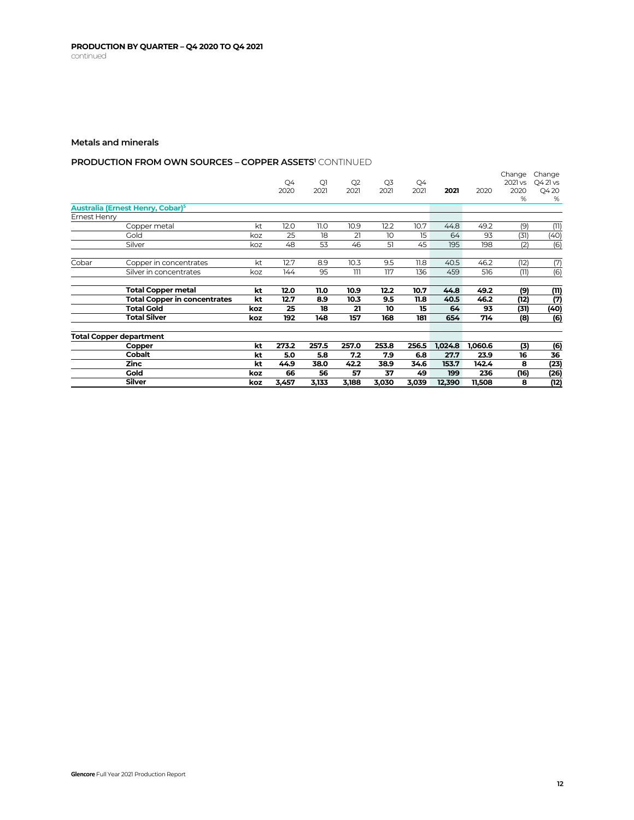## **PRODUCTION FROM OWN SOURCES – COPPER ASSETS' CONTINUED**

|              |                                              |     |       |       |                |       |       |         |         | Change  | Change    |
|--------------|----------------------------------------------|-----|-------|-------|----------------|-------|-------|---------|---------|---------|-----------|
|              |                                              |     | Q4    | Qì    | Q <sub>2</sub> | Q3    | Q4    |         |         | 2021 vs | $Q421$ vs |
|              |                                              |     | 2020  | 2021  | 2021           | 2021  | 2021  | 2021    | 2020    | 2020    | Q420      |
|              |                                              |     |       |       |                |       |       |         |         | %       | %         |
|              | Australia (Ernest Henry, Cobar) <sup>5</sup> |     |       |       |                |       |       |         |         |         |           |
| Ernest Henry |                                              |     |       |       |                |       |       |         |         |         |           |
|              | Copper metal                                 | kt  | 12.0  | 11.0  | 10.9           | 12.2  | 10.7  | 44.8    | 49.2    | (9)     | (11)      |
|              | Gold                                         | koz | 25    | 18    | 21             | 10    | 15    | 64      | 93      | (31)    | (40)      |
|              | Silver                                       | koz | 48    | 53    | 46             | 51    | 45    | 195     | 198     | (2)     | (6)       |
| Cobar        | Copper in concentrates                       | kt  | 12.7  | 8.9   | 10.3           | 9.5   | 11.8  | 40.5    | 46.2    | (12)    | (7)       |
|              | Silver in concentrates                       | koz | 144   | 95    | 111            | 117   | 136   | 459     | 516     | (11)    | (6)       |
|              |                                              |     |       |       |                |       |       |         |         |         |           |
|              | <b>Total Copper metal</b>                    | kt  | 12.0  | 11.0  | 10.9           | 12.2  | 10.7  | 44.8    | 49.2    | (9)     | (11)      |
|              | <b>Total Copper in concentrates</b>          | kt  | 12.7  | 8.9   | 10.3           | 9.5   | 11.8  | 40.5    | 46.2    | (12)    | (7)       |
|              | <b>Total Gold</b>                            | koz | 25    | 18    | 21             | 10    | 15    | 64      | 93      | (31)    | (40)      |
|              | <b>Total Silver</b>                          | koz | 192   | 148   | 157            | 168   | 181   | 654     | 714     | (8)     | (6)       |
|              | Total Copper department                      |     |       |       |                |       |       |         |         |         |           |
|              | Copper                                       | kt  | 273.2 | 257.5 | 257.0          | 253.8 | 256.5 | 1,024.8 | 1,060.6 | (3)     | (6)       |
|              | <b>Cobalt</b>                                | kt  | 5.0   | 5.8   | 7.2            | 7.9   | 6.8   | 27.7    | 23.9    | 16      | 36        |
|              | <b>Zinc</b>                                  | kt  | 44.9  | 38.0  | 42.2           | 38.9  | 34.6  | 153.7   | 142.4   | 8       | (23)      |
|              | <b>Gold</b>                                  | koz | 66    | 56    | 57             | 37    | 49    | 199     | 236     | (16)    | (26)      |
|              | <b>Silver</b>                                | koz | 3,457 | 3,133 | 3,188          | 3,030 | 3,039 | 12,390  | 11,508  | 8       | (12)      |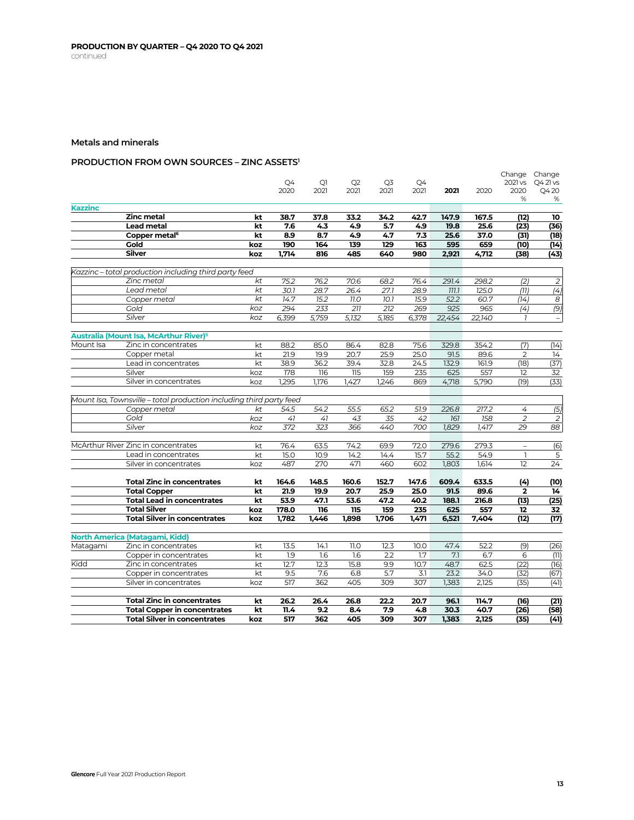## **PRODUCTION FROM OWN SOURCES – ZINC ASSETS1**

|                |                                                                            |          |               |                |                |                |               |               |               |                          | Change Change            |
|----------------|----------------------------------------------------------------------------|----------|---------------|----------------|----------------|----------------|---------------|---------------|---------------|--------------------------|--------------------------|
|                |                                                                            |          | Q4            | Q <sub>1</sub> | Q <sub>2</sub> | Q <sub>3</sub> | Q4            |               |               | 2021 vs                  | Q421vs                   |
|                |                                                                            |          | 2020          | 2021           | 2021           | 2021           | 2021          | 2021          | 2020          | 2020                     | Q420                     |
| <b>Kazzinc</b> |                                                                            |          |               |                |                |                |               |               |               | %                        | %                        |
|                | <b>Zinc metal</b>                                                          | kt       | 38.7          | 37.8           | 33.2           | 34.2           | 42.7          | 147.9         | 167.5         | (12)                     | 10                       |
|                | <b>Lead metal</b>                                                          | kt       | 7.6           | 4,3            | 4.9            | 5.7            | 4.9           | 19.8          | 25.6          | (23)                     | (36)                     |
|                | Copper metal <sup>6</sup>                                                  | kt       | 8.9           | 8.7            | 4.9            | 4.7            | 7.3           | 25.6          | 37.0          | (31)                     | (18)                     |
|                | <b>Gold</b>                                                                | koz      | 190           | 164            | 139            | 129            | 163           | 595           | 659           | (10)                     | (14)                     |
|                | <b>Silver</b>                                                              | koz      | 1,714         | 816            | 485            | 640            | 980           | 2,921         | 4,712         | (38)                     | (43)                     |
|                |                                                                            |          |               |                |                |                |               |               |               |                          |                          |
|                | Kazzinc – total production including third party feed                      |          |               |                |                |                |               |               |               |                          |                          |
|                | Zinc metal                                                                 | kt       | 75.2          | 76.2           | 70.6           | 68.2           | 76.4          | 291.4         | 298.2         | (2)                      | $\overline{2}$           |
|                | Lead metal                                                                 | kt       | 30.1          | 28.7           | 26.4           | 27.1           | 28.9          | 777.7         | 125.0         | (77)                     | $\overline{(4)}$         |
|                | Copper metal                                                               | kt       | 14.7          | 15.2           | 77.0           | 10.1           | 15.9          | 52.2          | 60.7          | (74)                     | 8                        |
|                | Gold                                                                       | koz      | 294           | 233            | 211            | 212            | 269           | 925           | 965           | (4)                      | (9)                      |
|                | Silver                                                                     | koz      | 6,399         | 5,759          | 5,132          | 5,185          | 6,378         | 22,454        | 22,140        | $\overline{1}$           | $\overline{\phantom{a}}$ |
|                |                                                                            |          |               |                |                |                |               |               |               |                          |                          |
| Mount Isa      | Australia (Mount Isa, McArthur River) <sup>5</sup><br>Zinc in concentrates |          | 88.2          | 85.0           | 86.4           |                | 75.6          | 329.8         | 354.2         | (7)                      | (14)                     |
|                |                                                                            | kt       |               |                |                | 82.8           |               |               |               |                          |                          |
|                | Copper metal                                                               | kt       | 21.9          | 19.9           | 20.7           | 25.9           | 25.0<br>24.5  | 91.5          | 89.6          | $\mathbf{2}$<br>(18)     | 14                       |
|                | Lead in concentrates                                                       | kt       | 38.9          | 36.2           | 39.4           | 32.8           |               | 132.9         | 161.9         |                          | (37)                     |
|                | Silver                                                                     | koz      | 178<br>1.295  | 116<br>1.176   | 115<br>1.427   | 159<br>1.246   | 235<br>869    | 625           | 557<br>5.790  | 12<br>(19)               | 32<br>(33)               |
|                | Silver in concentrates                                                     | koz      |               |                |                |                |               | 4,718         |               |                          |                          |
|                | Mount Isa, Townsville - total production including third party feed        |          |               |                |                |                |               |               |               |                          |                          |
|                | Copper metal                                                               | kt       | 54.5          | 54.2           | 55.5           | 65.2           | 51.9          | 226.8         | 217.2         | 4                        | (5)                      |
|                | Gold                                                                       | koz      | 41            | 41             | 43             | 35             | 42            | 161           | 158           | $\overline{2}$           | 2                        |
|                | Silver                                                                     | koz      | 372           | 323            | 366            | 440            | 700           | 1,829         | 1,417         | 29                       | 88                       |
|                |                                                                            |          |               |                |                |                |               |               |               |                          |                          |
|                | McArthur River Zinc in concentrates                                        | kt       | 76.4          | 63.5           | 74.2           | 69.9           | 72.0          | 279.6         | 279.3         | $\overline{\phantom{0}}$ | (6)                      |
|                | Lead in concentrates                                                       | kt       | 15.0          | 10.9           | 14.2           | 14.4           | 15.7          | 55.2          | 54.9          | $\mathbf{1}$             | $\mathsf S$              |
|                | Silver in concentrates                                                     | koz      | 487           | 270            | 471            | 460            | 602           | 1,803         | 1,614         | 12                       | 24                       |
|                |                                                                            |          |               |                |                |                |               |               |               |                          |                          |
|                | <b>Total Zinc in concentrates</b><br><b>Total Copper</b>                   | kt<br>kt | 164.6<br>21.9 | 148.5<br>19.9  | 160.6<br>20.7  | 152.7<br>25.9  | 147.6<br>25.0 | 609.4<br>91.5 | 633.5<br>89.6 | (4)<br>$\mathbf{2}$      | (10)<br>14               |
|                | <b>Total Lead in concentrates</b>                                          | kt       | 53.9          | 47.1           | 53.6           | 47.2           | 40.2          | 188.1         | 216.8         | (13)                     | (25)                     |
|                | <b>Total Silver</b>                                                        | koz      | 178.0         | 116            | 115            | 159            | 235           | 625           | 557           | 12                       | 32                       |
|                | <b>Total Silver in concentrates</b>                                        | koz      | 1,782         | 1,446          | 1,898          | 1,706          | 1,471         | 6,521         | 7,404         | (12)                     | (17)                     |
|                |                                                                            |          |               |                |                |                |               |               |               |                          |                          |
|                | North America (Matagami, Kidd)                                             |          |               |                |                |                |               |               |               |                          |                          |
| Matagami       | Zinc in concentrates                                                       | kt       | 13.5          | 14.1           | 11.0           | 12.3           | 10.0          | 47.4          | 52.2          | (9)                      | (26)                     |
|                | Copper in concentrates                                                     | kt       | 1.9           | 1.6            | 1.6            | 2.2            | 1.7           | 7.1           | 6.7           | 6                        | (11)                     |
| Kidd           | Zinc in concentrates                                                       | kt       | 12.7          | 12.3           | 15.8           | 9.9            | 10.7          | 48.7          | 62.5          | (22)                     | (16)                     |
|                | Copper in concentrates                                                     | kt       | 9.5           | 7.6            | 6.8            | 5.7            | 3.1           | 23.2          | 34.0          | (32)                     | (67)                     |
|                | Silver in concentrates                                                     | koz      | 517           | 362            | 405            | 309            | 307           | 1.383         | 2,125         | (35)                     | (41)                     |
|                |                                                                            |          |               |                |                |                |               |               |               |                          |                          |
|                | <b>Total Zinc in concentrates</b>                                          | kt       | 26.2          | 26.4           | 26.8           | 22.2           | 20.7          | 96.1          | 114.7         | (16)                     | (21)                     |
|                | <b>Total Copper in concentrates</b>                                        | kt       | 11.4          | 9.2            | 8.4            | 7.9            | 4.8           | 30.3          | 40.7          | (26)                     | (58)                     |
|                | <b>Total Silver in concentrates</b>                                        | koz      | 517           | 362            | 405            | 309            | 307           | 1,383         | 2,125         | (35)                     | (41)                     |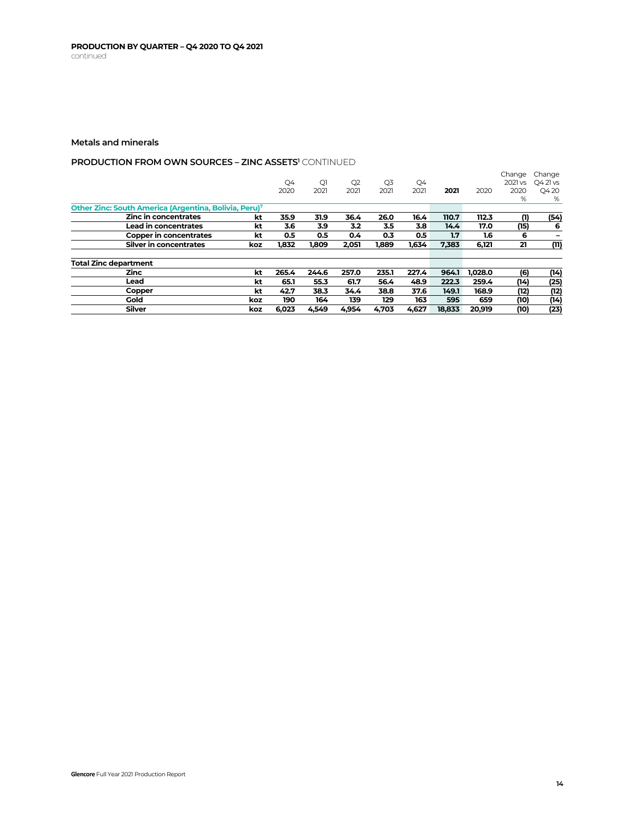## **PRODUCTION FROM OWN SOURCES - ZINC ASSETS<sup>1</sup> CONTINUED**

|                                                                   |     | Q4<br>2020 | Q1<br>2021 | Q <sub>2</sub><br>2021 | Q3<br>2021 | Q4<br>2021 | 2021   | 2020    | Change<br>2021 vs<br>2020 | Change<br>Q4 21 vs<br>Q420 |
|-------------------------------------------------------------------|-----|------------|------------|------------------------|------------|------------|--------|---------|---------------------------|----------------------------|
|                                                                   |     |            |            |                        |            |            |        |         | %                         | %                          |
| Other Zinc: South America (Argentina, Bolivia, Peru) <sup>7</sup> |     |            |            |                        |            |            |        |         |                           |                            |
| Zinc in concentrates                                              | kt  | 35.9       | 31.9       | 36.4                   | 26.0       | 16.4       | 110.7  | 112.3   | (1)                       | (54)                       |
| Lead in concentrates                                              | kt  | 3.6        | 3.9        | 3.2                    | 3.5        | 3.8        | 14.4   | 17.0    | (15)                      | 6                          |
| <b>Copper in concentrates</b>                                     | kt  | 0.5        | 0.5        | 0.4                    | 0.3        | 0.5        | 1.7    | 1.6     | 6                         |                            |
| Silver in concentrates                                            | koz | 1,832      | 1,809      | 2,051                  | 1,889      | 1,634      | 7,383  | 6,121   | 21                        | (11)                       |
| <b>Total Zinc department</b>                                      |     |            |            |                        |            |            |        |         |                           |                            |
| <b>Zinc</b>                                                       | kt  | 265.4      | 244.6      | 257.0                  | 235.1      | 227.4      | 964.1  | 1.028.0 | (6)                       | (14)                       |
| Lead                                                              | kt  | 65.1       | 55.3       | 61.7                   | 56.4       | 48.9       | 222.3  | 259.4   | (14)                      | (25)                       |
| Copper                                                            | kt  | 42.7       | 38.3       | 34.4                   | 38.8       | 37.6       | 149.1  | 168.9   | (12)                      | (12)                       |
| Gold                                                              | koz | 190        | 164        | 139                    | 129        | 163        | 595    | 659     | (10)                      | (14)                       |
| <b>Silver</b>                                                     | koz | 6,023      | 4.549      | 4.954                  | 4.703      | 4.627      | 18.833 | 20.919  | (10)                      | (23)                       |
|                                                                   |     |            |            |                        |            |            |        |         |                           |                            |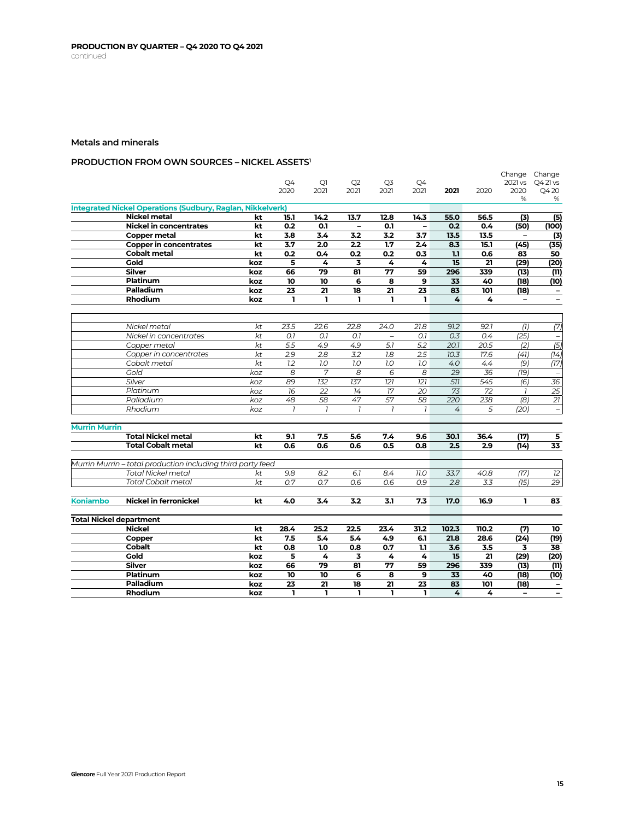## **PRODUCTION FROM OWN SOURCES – NICKEL ASSETS1**

|                                |                                                                   |     |                |                |                   |                          |                   |       |       |                          | Change Change            |
|--------------------------------|-------------------------------------------------------------------|-----|----------------|----------------|-------------------|--------------------------|-------------------|-------|-------|--------------------------|--------------------------|
|                                |                                                                   |     | Q4<br>2020     | Q1<br>2021     | Q2<br>2021        | Q3<br>2021               | Q4<br>2021        | 2021  |       | 2021 vs<br>2020          | Q4 21 vs                 |
|                                |                                                                   |     |                |                |                   |                          |                   |       | 2020  | %                        | Q420<br>%                |
|                                | <b>Integrated Nickel Operations (Sudbury, Raglan, Nikkelverk)</b> |     |                |                |                   |                          |                   |       |       |                          |                          |
|                                | Nickel metal                                                      | kt  | 15.1           | 14.2           | 13.7              | 12.8                     | 14.3              | 55.0  | 56.5  | (3)                      | (5)                      |
|                                | <b>Nickel in concentrates</b>                                     | kt  | 0.2            | 0.1            | $\qquad \qquad -$ | 0.1                      | $\qquad \qquad -$ | 0.2   | 0.4   | (50)                     | (100)                    |
|                                | <b>Copper metal</b>                                               | kt  | 3.8            | 3.4            | 3.2               | 3.2                      | 3.7               | 13.5  | 13.5  | $\overline{\phantom{a}}$ | (3)                      |
|                                | <b>Copper in concentrates</b>                                     | kt  | 3.7            | 2.0            | 2.2               | 1.7                      | 2.4               | 8.3   | 15.1  | (45)                     | (35)                     |
|                                | <b>Cobalt metal</b>                                               | kt  | 0.2            | 0.4            | 0.2               | 0.2                      | 0.3               | 1.1   | 0.6   | 83                       | 50                       |
|                                | Gold                                                              | koz | 5              | 4              | 3                 | 4                        | 4                 | 15    | 21    | (29)                     | (20)                     |
|                                | <b>Silver</b>                                                     | koz | 66             | 79             | 81                | 77                       | 59                | 296   | 339   | (13)                     | (11)                     |
|                                | <b>Platinum</b>                                                   | koz | 10             | 10             | 6                 | 8                        | 9                 | 33    | 40    | (18)                     | (10)                     |
|                                | Palladium                                                         | koz | 23             | 21             | 18                | 21                       | 23                | 83    | 101   | (18)                     | $\overline{\phantom{a}}$ |
|                                | <b>Rhodium</b>                                                    | koz | $\mathbf{I}$   | $\mathbf{I}$   | $\mathbf{I}$      | ı                        | ı                 | 4     | 4     | $\overline{\phantom{a}}$ | $\overline{\phantom{a}}$ |
|                                |                                                                   |     |                |                |                   |                          |                   |       |       |                          |                          |
|                                | Nickel metal                                                      | kt  | 23.5           | 22.6           | 22.8              | 24.0                     | 21.8              | 91.2  | 92.1  | (1)                      | (7)                      |
|                                | Nickel in concentrates                                            | kt  | 0.1            | O.7            | O.7               | $\overline{\phantom{a}}$ | O.7               | 0.3   | 0.4   | (25)                     |                          |
|                                | Copper metal                                                      | kt  | 5.5            | 4.9            | 4.9               | 5.1                      | 5.2               | 20.1  | 20.5  | (2)                      | (5)                      |
|                                | Copper in concentrates                                            | kt  | 2.9            | 2.8            | 3.2               | 1.8                      | 2.5               | 10.3  | 17.6  | (41)                     | (14)                     |
|                                | Cobalt metal                                                      | kt  | 1.2            | 7.0            | 1.0               | 1.0                      | 7.0               | 4.0   | 4.4   | (9)                      | (17)                     |
|                                | Gold                                                              | koz | 8              | 7              | 8                 | 6                        | 8                 | 29    | 36    | (19)                     |                          |
|                                | Silver                                                            | koz | 89             | 132            | 137               | 121                      | 121               | 511   | 545   | (6)                      | 36                       |
|                                | Platinum                                                          | koz | 16             | 22             | 14                | 17                       | 20                | 73    | 72    | $\overline{1}$           | 25                       |
|                                | Palladium                                                         | koz | 48             | 58             | 47                | 57                       | 58                | 220   | 238   | (8)                      | 21                       |
|                                | Rhodium                                                           | koz | $\overline{1}$ | $\overline{1}$ | $\overline{1}$    | $\overline{1}$           | $\overline{1}$    | 4     | 5     | (20)                     | $\overline{\phantom{a}}$ |
|                                |                                                                   |     |                |                |                   |                          |                   |       |       |                          |                          |
| <b>Murrin Murrin</b>           |                                                                   |     |                |                |                   |                          |                   |       |       |                          |                          |
|                                | <b>Total Nickel metal</b>                                         | kt  | 9.1            | 7.5            | 5.6               | 7.4                      | 9.6               | 30.1  | 36.4  | (17)                     | 5                        |
|                                | <b>Total Cobalt metal</b>                                         | kt  | 0.6            | 0.6            | 0.6               | 0.5                      | 0.8               | 2.5   | 2.9   | (14)                     | 33                       |
|                                | Murrin Murrin - total production including third party feed       |     |                |                |                   |                          |                   |       |       |                          |                          |
|                                | <b>Total Nickel metal</b>                                         | kt  | 9.8            | 8.2            | 6.1               | 8.4                      | 77.0              | 33.7  | 40.8  | (17)                     | 12                       |
|                                | <b>Total Cobalt metal</b>                                         | kt  | 0.7            | 0.7            | 0.6               | 0.6                      | 0.9               | 2.8   | 3.3   | (15)                     | 29                       |
|                                |                                                                   |     |                |                |                   |                          |                   |       |       |                          |                          |
| <b>Koniambo</b>                | <b>Nickel in ferronickel</b>                                      | kt  | 4.0            | 3.4            | 3.2               | 3.1                      | 7.3               | 17.0  | 16.9  | ı                        | 83                       |
|                                |                                                                   |     |                |                |                   |                          |                   |       |       |                          |                          |
| <b>Total Nickel department</b> | <b>Nickel</b>                                                     | kt  | 28.4           | 25.2           | 22.5              | 23.4                     | 31.2              | 102.3 | 110.2 | (7)                      | 10                       |
|                                | Copper                                                            | kt  | 7.5            | 5.4            | 5.4               | 4.9                      | 6.1               | 21.8  | 28.6  | (24)                     | (19)                     |
|                                | <b>Cobalt</b>                                                     | kt  | 0.8            | 1.0            | 0.8               | 0.7                      | 1.1               | 3.6   | 3.5   | 3                        | 38                       |
|                                | Gold                                                              | koz | 5              | 4              | 3                 | 4                        | 4                 | 15    | 21    | (29)                     | (20)                     |
|                                | <b>Silver</b>                                                     | koz | 66             | 79             | 81                | 77                       | 59                | 296   | 339   | (13)                     | (11)                     |
|                                | Platinum                                                          | koz | 10             | 10             | 6                 | 8                        | 9                 | 33    | 40    | (18)                     | (10)                     |
|                                | Palladium                                                         | koz | 23             | 21             | 18                | 21                       | 23                | 83    | 101   | (18)                     | $\overline{\phantom{a}}$ |
|                                | Rhodium                                                           | koz | ı              | ı              | ı                 | ı                        | ı                 | 4     | 4     | $\overline{\phantom{0}}$ | $\overline{\phantom{m}}$ |
|                                |                                                                   |     |                |                |                   |                          |                   |       |       |                          |                          |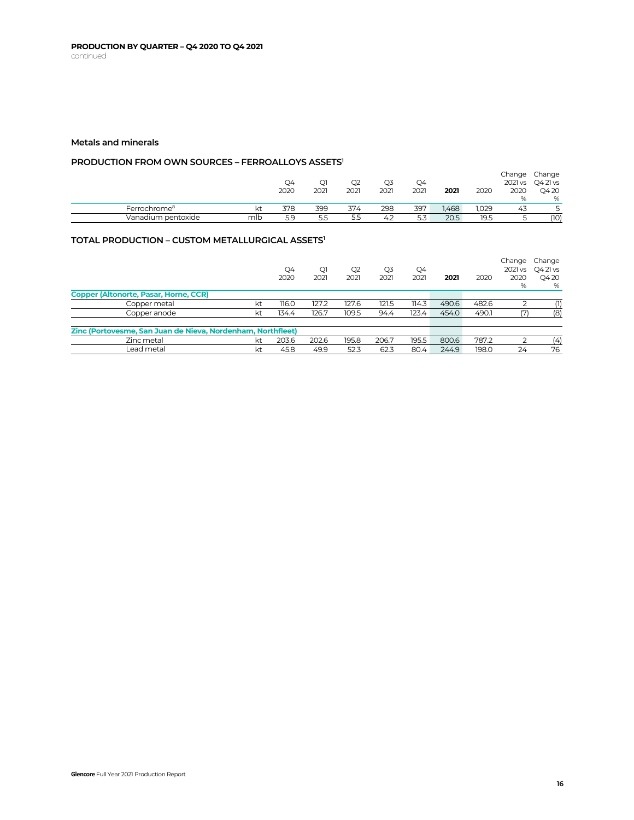## **PRODUCTION FROM OWN SOURCES – FERROALLOYS ASSETS1**

|                          |     | Q4   | Q1   | Q2   | Q3   | Q4   |      |       | Change<br>2021 vs | Change<br>Q4 21 vs |
|--------------------------|-----|------|------|------|------|------|------|-------|-------------------|--------------------|
|                          |     | 2020 | 2021 | 2021 | 2021 | 2021 | 2021 | 2020  | 2020              | Q420               |
|                          |     |      |      |      |      |      |      |       | $O_{\Lambda}$     | %                  |
| Ferrochrome <sup>8</sup> |     | 378  | 399  | 374  | 298  | 397  | .468 | 1.029 | 43                |                    |
| Vanadium pentoxide       | mlb | 5.9  | 5.5  | 5.5  | 4.2  | 5.3  | 20.5 | 19.5  |                   | (10)               |

## **TOTAL PRODUCTION – CUSTOM METALLURGICAL ASSETS1**

|                                                             |    | Q4<br>2020 | Q1<br>2021 | Q <sub>2</sub><br>2021 | Q3<br>2021 | Q4<br>2021 | 2021  | 2020  | Change<br>2021 vs<br>2020<br>% | Change<br>Q4 21 vs<br>Q420<br>% |
|-------------------------------------------------------------|----|------------|------------|------------------------|------------|------------|-------|-------|--------------------------------|---------------------------------|
| <b>Copper (Altonorte, Pasar, Horne, CCR)</b>                |    |            |            |                        |            |            |       |       |                                |                                 |
| Copper metal                                                | kt | 116.0      | 127.2      | 127.6                  | 121.5      | 114.3      | 490.6 | 482.6 |                                | (1)                             |
| Copper anode                                                | kt | 134.4      | 126.7      | 109.5                  | 94.4       | 123.4      | 454.0 | 490.1 |                                | (8)                             |
| Zinc (Portovesme, San Juan de Nieva, Nordenham, Northfleet) |    |            |            |                        |            |            |       |       |                                |                                 |
| Zinc metal                                                  | kt | 203.6      | 202.6      | 195.8                  | 206.7      | 195.5      | 800.6 | 787.2 |                                | (4)                             |
| Lead metal                                                  | kt | 45.8       | 49.9       | 52.3                   | 62.3       | 80.4       | 244.9 | 198.0 | 24                             | 76                              |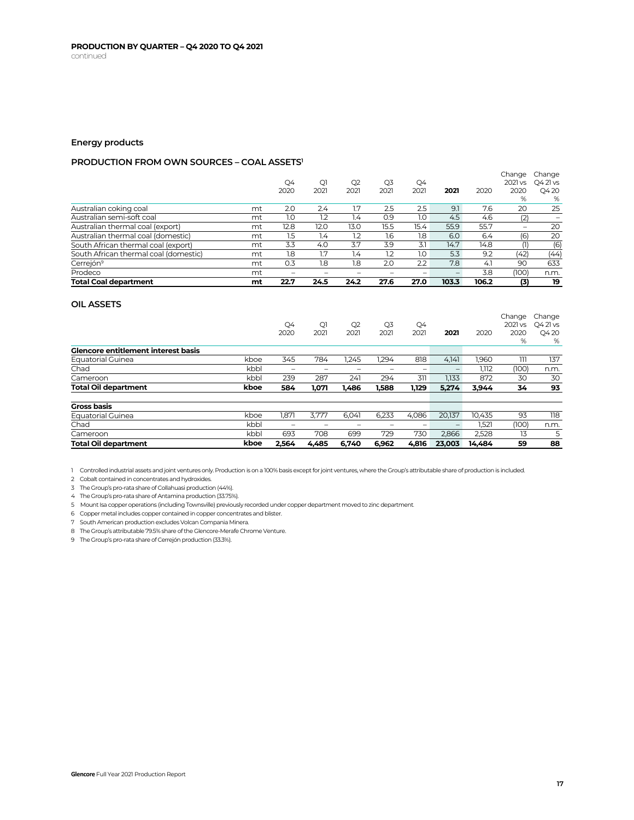## **Energy products**

## **PRODUCTION FROM OWN SOURCES – COAL ASSETS1**

| <b>Total Coal department</b>          | mt | 22.7 | 24.5 | 24.2 | 27.6 | 27.0 | 103.3 | 106.2 | (3)                      | 19                 |
|---------------------------------------|----|------|------|------|------|------|-------|-------|--------------------------|--------------------|
| Prodeco                               | mt |      |      |      |      |      |       | 3.8   | (100)                    | n.m.               |
| Cerrejón <sup>9</sup>                 | mt | 0.3  | 1.8  | 1.8  | 2.0  | 2.2  | 7.8   | 4.1   | 90                       | 633                |
| South African thermal coal (domestic) | mt | 1.8  | 1.7  | 1.4  | 1.2  | 1.0  | 5.3   | 9.2   | (42                      | (44)               |
| South African thermal coal (export)   | mt | 3.3  | 4.0  | 3.7  | 3.9  | 3.1  | 14.7  | 14.8  |                          | (6)                |
| Australian thermal coal (domestic)    | mt | 1.5  | 1.4  | 1.2  | 1.6  | 1.8  | 6.0   | 6.4   | (6)                      | 20                 |
| Australian thermal coal (export)      | mt | 12.8 | 12.0 | 13.0 | 15.5 | 15.4 | 55.9  | 55.7  | $\overline{\phantom{a}}$ | 20                 |
| Australian semi-soft coal             | mt | 1.0  | 1.2  | 1.4  | 0.9  | 1.0  | 4.5   | 4.6   | (2)                      |                    |
| Australian coking coal                | mt | 2.0  | 2.4  | 1.7  | 2.5  | 2.5  | 9.1   | 7.6   | 20                       | 25                 |
|                                       |    | 2020 | 2021 | 2021 | 2021 | 2021 | 2021  | 2020  | 2020<br>%                | Q420<br>%          |
|                                       |    | Q4   | Qì   | Q2   | Q3   | Q4   |       |       | Change<br>2021 vs        | Change<br>Q4 21 vs |

### **OIL ASSETS**

|                                            |      | Q4<br>2020               | Q1<br>2021               | Q2<br>2021 | Q3<br>2021               | Q4<br>2021               | 2021                            | 2020   | Change<br>2021 vs<br>2020 | Change<br>Q421vs<br>Q420 |
|--------------------------------------------|------|--------------------------|--------------------------|------------|--------------------------|--------------------------|---------------------------------|--------|---------------------------|--------------------------|
|                                            |      |                          |                          |            |                          |                          |                                 |        | %                         | %                        |
| <b>Glencore entitlement interest basis</b> |      |                          |                          |            |                          |                          |                                 |        |                           |                          |
| <b>Equatorial Guinea</b>                   | kboe | 345                      | 784                      | 1.245      | 1.294                    | 818                      | 4.141                           | 1.960  | 111                       | 137                      |
| Chad                                       | kbbl | $\overline{\phantom{a}}$ | $\overline{\phantom{a}}$ | -          | $\overline{\phantom{a}}$ | $\overline{\phantom{a}}$ | $\qquad \qquad$                 | 1.112  | (100)                     | n.m.                     |
| Cameroon                                   | kbbl | 239                      | 287                      | 241        | 294                      | 311                      | 1.133                           | 872    | 30                        | 30                       |
| <b>Total Oil department</b>                | kboe | 584                      | 1.071                    | 1,486      | 1,588                    | 1,129                    | 5.274                           | 3,944  | 34                        | 93                       |
| <b>Gross basis</b>                         |      |                          |                          |            |                          |                          |                                 |        |                           |                          |
| <b>Equatorial Guinea</b>                   | kboe | 1,871                    | 3.777                    | 6.041      | 6,233                    | 4.086                    | 20.137                          | 10.435 | 93                        | 118                      |
| Chad                                       | kbbl | -                        | -                        | -          | $\overline{\phantom{a}}$ | -                        | $\hspace{0.1mm}-\hspace{0.1mm}$ | 1,521  | (100)                     | n.m.                     |
| Cameroon                                   | kbbl | 693                      | 708                      | 699        | 729                      | 730                      | 2.866                           | 2,528  | 13                        | 5                        |
| <b>Total Oil department</b>                | kboe | 2.564                    | 4.485                    | 6.740      | 6.962                    | 4.816                    | 23.003                          | 14.484 | 59                        | 88                       |

1 Controlled industrial assets and joint ventures only. Production is on a 100% basis except for joint ventures, where the Group's attributable share of production is included.

2 Cobalt contained in concentrates and hydroxides.

3 The Group's pro-rata share of Collahuasi production (44%).

4 The Group's pro-rata share of Antamina production (33.75%).

5 Mount Isa copper operations (including Townsville) previously recorded under copper department moved to zinc department.

6 Copper metal includes copper contained in copper concentrates and blister.

7 South American production excludes Volcan Compania Minera.

8 The Group's attributable 79.5% share of the Glencore-Merafe Chrome Venture.

9 The Group's pro-rata share of Cerrejón production (33.3%).